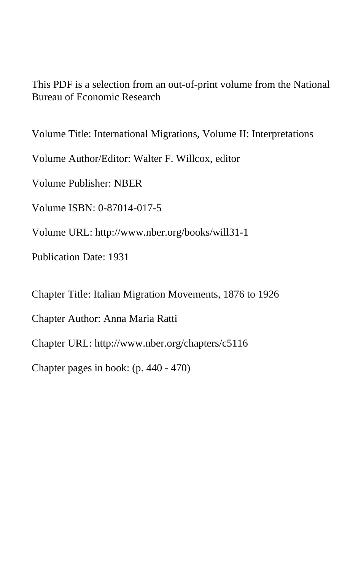This PDF is a selection from an out-of-print volume from the National Bureau of Economic Research

Volume Title: International Migrations, Volume II: Interpretations

Volume Author/Editor: Walter F. Willcox, editor

Volume Publisher: NBER

Volume ISBN: 0-87014-017-5

Volume URL: http://www.nber.org/books/will31-1

Publication Date: 1931

Chapter Title: Italian Migration Movements, 1876 to 1926

Chapter Author: Anna Maria Ratti

Chapter URL: http://www.nber.org/chapters/c5116

Chapter pages in book: (p. 440 - 470)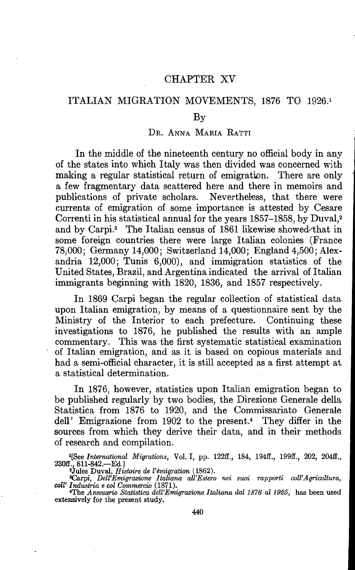## CHAPTER XV

## ITALIAN MIGRATION MOVEMENTS, 1876 TO 1926.1

#### By

#### DR. ANNA MARIA RATTI

In the middle of the nineteenth century no official body in any of the states into which Italy was then divided was concerned with making a regular statistical return of emigration. There are only a few fragmentary data scattered here and there in memoirs and publications of private scholars. Nevertheless, that there were currents of emigration of some importance is attested by Cesare Correnti in his statistical annual for the years 1857—1858, by Duval,2 and by Carpi.<sup>3</sup> The Italian census of 1861 likewise showed/that in some foreign countries there were large Italian colonies (France 78,000; Germany 14,000; Switzerland 14,000; England 4,500; Alexandria 12,000; Tunis 6,000), and immigration statistics of the United States, Brazil, and Argentina indicated the arrival of Italian immigrants beginning with 1820, 1836, and 1857 respectively.

In 1869 Carpi began the regular collection of statistical data upon Italian emigration, by means of a questionnaire sent by the Ministry of the Interior to each prefecture. Continuing these investigations to 1876, he published the results with an ample commentary. This was the first systematic statistical examination of Italian emigration, and as it is based on copious materials and had a semi-official character, it is still accepted as a first attempt at a statistical determination.

In 1876, however, statistics upon Italian emigration began to be published regularly by two bodies, the Direzione Generale della Statistica from 1876 to 1920, and the Comrnissariato Generale deli' Emigrazione from 1902 to the present.4 They differ in the sources from which they derive their data, and in their methods of research and compilation.

<sup>1</sup>[See International Migrations, Vol. I, pp. 122ff., 184, 194ff., 199ff., 202, 204ff., 230ff., 811-842.—Ed.]<br><sup>2</sup>Jules Duval, Histoire de l'émigration (1862).<br><sup>8</sup>Carpi, *Dell'Emigrazione Italiana all'Estero nei suoi rapporti coll'Agricoltura*,

coll' Industria e col Commercio (1871).<br>
<sup>4</sup>The Annuario Statistica dell'Emigrazione Italiana dal 1876 al 1925, has been used

extensively for the present study.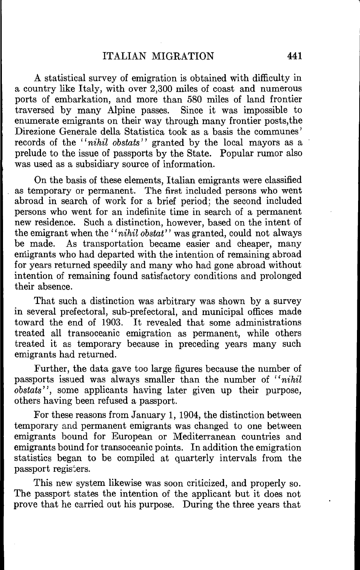A statistical survey of emigration is obtained with difficulty in a country like Italy, with over 2,300 miles of coast and numerous ports of embarkation, and more than 580 miles of land frontier traversed by many Alpine passes. Since it was impossible to enumerate emigrants on their way through many frontier posts,the Direzione Generale della Statistica took as a basis the communes' records of the "nihil obstats" granted by the local mayors as a prelude to the issue of passports by the State. Popular rumor also was used as a subsidiary source of information.

On the basis of these elements, Italian emigrants were classified as temporary or permanent. The first included persons who went abroad in search of work for a brief period; the second included persons who went for an indefinite time in search of a permanent new residence. Such a distinction, however, based on the intent of the emigrant when the "nihil obstat" was granted, could not always<br>be made. As transportation became easier and cheaper, many As transportation became easier and cheaper, many emigrants who had departed with the intention of remaining abroad for years returned speedily and many who had gone abroad without intention of remaining found satisfactory conditions and prolonged their absence.

That such a distinction was arbitrary was shown by a survey in several prefectoral, sub-prefectoral, and municipal offices made toward the end of 1903. It revealed that some administrations treated all transoceanic emigration as permanent, while others treated it as temporary because in preceding years many such emigrants had returned.

Further, the data gave too large figures because the number of passports issued was always smaller than the number of "nihil obstats", some applicants having later given up their purpose, others having been refused a passport.

For these reasons from January 1, 1904, the distinction between temporary and permanent emigrants was changed to one between emigrants bound for European or Mediterranean countries and emigrants bound for transoceanic points. In addition the emigration statistics began to be compiled at quarterly intervals from the passport registers.

This new system likewise was soon criticized, and properly so. The passport states the intention of the applicant but it does not prove that he carried out his purpose. During the three years that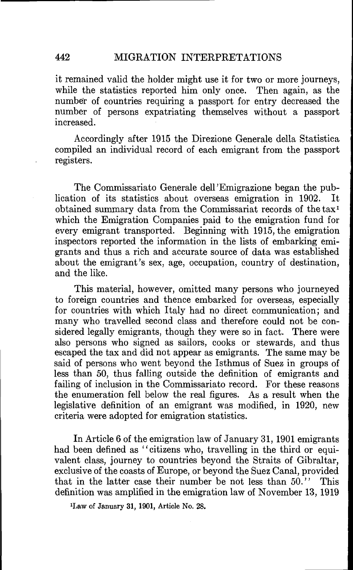it remained valid the holder might use it for two or more journeys, while the statistics reported him only once. Then again, as the number of countries requiring a passport for entry decreased the number of persons expatriating themselves without a passport increased.

Accordingly after 1915 the Direzione Generale della Statistica compiled an individual record of each emigrant from the passport registers.

The Commissariato Generale deli 'Emigrazione began the publication of its statistics about overseas emigration in 1902. It obtained summary data from the Commissariat records of the tax' which the Emigration Companies paid to the emigration fund for every emigrant transported. Beginning with 1915, the emigration inspectors reported the information in the lists of embarking emigrants and thus a rich and accurate source of data was established about the emigrant's sex, age, occupation, country of destination, and the like.

This material, however, omitted many persons who journeyed to foreign countries and thence embarked for overseas, especially for countries with which Italy had no direct communication; and many who travelled second class and therefore could not be considered legally emigrants, though they were so in fact. There were also persons who signed as sailors, cooks or stewards, and thus escaped the tax and did not appear as emigrants. The same may be said of persons who went beyond the Isthmus of Suez in groups of less than 50, thus falling outside the definition of emigrants and failing of inclusion in the Commissariato record. For these reasons the enumeration fell below the real figures. As a result when the legislative definition of an emigrant was modified, in 1920, new criteria were adopted for emigration statistics.

In Article 6 of the emigration law of January 31, 1901 emigrants had been defined as "citizens who, travelling in the third or equivalent class, journey to countries beyond the Straits of Gibraltar, exclusive of the coasts of Europe, or beyond the Suez Canal, provided that in the latter case their number be not less than 50." This definition was amplified in the emigration law of November 13, 1919

'Law of January 31, 1901, Article No. 28.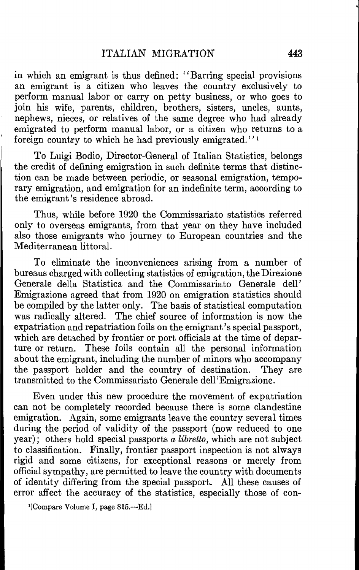in which an emigrant is thus defined: "Barring special provisions an emigrant is a citizen who leaves the country exclusively to perform manual labor or carry on petty business, or who goes to join his wife, parents, children, brothers, sisters, uncles, aunts, nephews, nieces, or relatives of the same degree who had already emigrated to perform manual labor, or a citizen who returns to a foreign country to which he had previously emigrated."<sup>1</sup>

To Luigi Bodio, Director-General of Italian Statistics, belongs the credit of defining emigration in such definite terms that distinction can be made between periodic, or seasonal emigration, temporary emigration, and emigration for an indefinite term, according to the emigrant's residence abroad.

Thus, while before 1920 the Commissariato statistics referred oniy to overseas emigrants, from that year on they have included also those emigrants who journey to European countries and the Mediterranean littoral.

To eliminate the inconveniences arising from a number of bureaus charged with collecting statistics of emigration, the Direzione Generale della Statistica and the Commissariato Generale deli' Emigrazione agreed that from 1920 on emigration statistics should be compiled by the latter oniy. The basis of statistical computation was radically altered. The chief source of information is now the expatriation and repatriation foils on the emigrant's special passport, which are detached by frontier or port officials at the time of departure or return. These foils contain all the personal information about the emigrant, including the number of minors who accompany the passport holder and the country of destination. They are transmitted to the Commissariato Generale deli 'Emigrazione.

Even under this new procedure the movement of expatriation can not be completely recorded because there is some clandestine emigration. Again, some emigrants leave the country several times during the period of validity of the passport (now reduced to one year); others hold special passports  $\hat{a}$  libretto, which are not subject to classification. Finally, frontier passport inspection is not always rigid and some citizens, for exceptional reasons or merely from official sympathy, are permitted to leave the country with documents of identity differing from the special passport. All these causes of error affect the accuracy of the statistics, especially those of con-

<sup>&#</sup>x27;[Compare Volume I, page 815.—Ed.]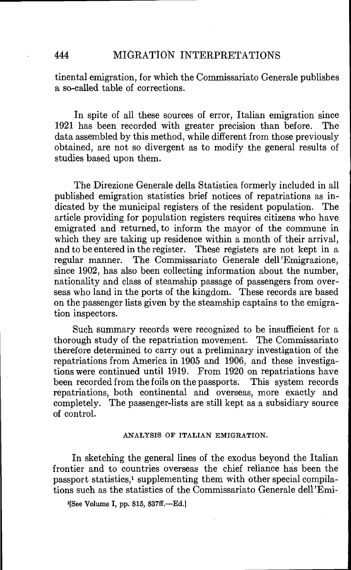tinental emigration, for which the Commissariato Generale publishes a so-called table of corrections.

In spite of all these sources of error, Italian emigration since<br>has been recorded with greater precision than before. The 1921 has been recorded with greater precision than before. data assembled by this method, while different from those previously obtained, are not so divergent as to modify the general results of studies based upon them.

The Direzione Generale della Statistica formerly included in all published emigration statistics brief notices of repatriations as indicated by the municipal registers of the resident population. article providing for population registers requires citizens who have emigrated and returned, to inform the mayor of the commune in which they are taking up residence within a month of their arrival. and to be entered in the register. These registers are not kept in a regular manner. The Commissariato Generale deli 'Emigrazione, since 1902, has also been collecting information about the number, nationality and class of steamship passage of passengers from overseas who land in the ports of the kingdom. These records are based on the passenger lists given by the steamship captains to the emigration inspectors.

Such summary records were recognized to be insufficient for a thorough study of the repatriation movement. The Commissariato therefore determined to carry out a preliminary investigation of the repatriations from America in 1905 and 1906, and these investigations were continued until 1919. From 1920 on repatriations have been recorded from the foils on the passports. This system records repatriations, both continental and overseas, more exactly and completely. The passenger-lists are still kept as a subsidiary source of control.

#### ANALYSIS OF ITALIAN EMIGRATION.

In sketching the general lines of the exodus beyond the Italian frontier and to countries overseas the chief reliance has been the passport statistics,<sup>1</sup> supplementing them with other special compilations such as the statistics of the Commissariato Generale dell'Emi-

'[See Volume I, pp. 815, 837ff.—Ed.I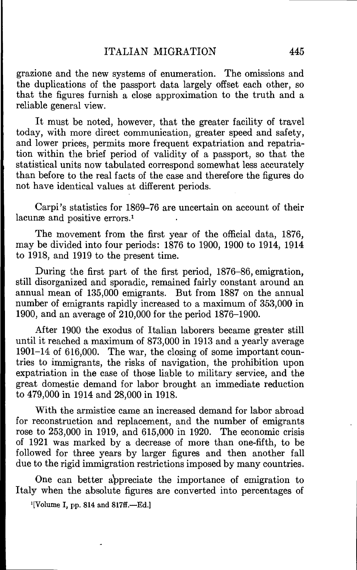grazione and the new systems of enumeration. The omissions and the duplications of the passport data largely offset each other, so that the figures furnish a close approximation to the truth and a reliable general view.

It must be noted, however, that the greater facility of travel today, with more direct communication, greater speed and safety, and lower prices, permits more frequent expatriation and repatriation within the brief period of validity of a passport, so that the statistical units now tabulated correspond somewhat less accurately than before to the real facts of the case and therefore the figures do not have identical values at different periods.

Carpi 's statistics for 1869—76 are uncertain on account of their lacunæ and positive errors.<sup>1</sup>

The movement from the first year of the official data, 1876, may be divided into four periods: 1876 to 1900, 1900 to 1914, 1914 to 1918, and 1919 to the present time.

During the first part of the first period, 1876—86, emigration, still disorganized and sporadic, remained fairly constant around an annual mean of 135,000 emigrants. But from 1887 on the annual number of emigrants rapidly increased to a maximum of 353,000 in 1900, and an average of 210,000 for the period 1876—1900.

After 1900 the exodus of Italian laborers became greater still until it reached a maximum of 873,000 in 1913 and a yearly average 1901—14 of 616,000. The war, the closing of some important countries to immigrants, the risks of navigation, the prohibition upon expatriation in the case of those liable to military service, and the great domestic demand for labor brought an immediate reduction to 479,000 in 1914 and 28,000 in 1918.

With the armistice came an increased demand for labor abroad for reconstruction and replacement, and the number of emigrants rose to 253,000 in 1919, and 615,000 in 1920. The economic crisis of 1921 was marked by a decrease of more than one-fifth, to be followed for three years by larger figures and then another fall due to the rigid immigration restrictions imposed by many countries.

One can better a'ppreciate the importance of emigration to Italy when the absolute figures are converted into percentages of

<sup>1</sup>[Volume I, pp. 814 and 817ff.--Ed.]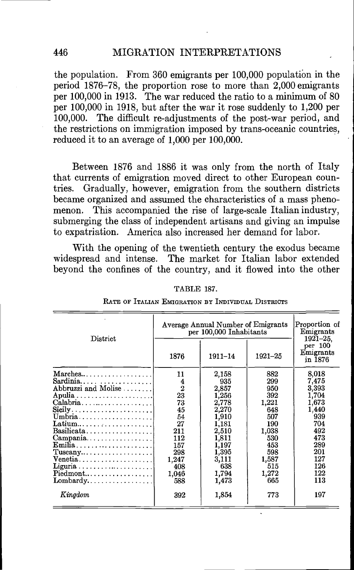the population. From  $360$  emigrants per  $100,000$  population in the period 1876—78, the proportion rose to more than 2,000 emigrants per 100,000 in 1913. The war reduced the ratio to a minimum of 80 per 100,000 in 1918, but after the war it rose suddenly to 1,200 per 100,000. The difficult re-adjustments of the post-war period, and the restrictions on immigration imposed by trans-oceanic countries, reduced it to an average of 1,000 per 100,000.

Between 1876 and 1886 it was only from the north of Italy that currents of emigration moved direct to other European countries. Gradually, however, emigration from the southern districts became organized and assumed the characteristics of a mass phenomenon. This accompanied the rise of large-scale Italian industry, submerging the class of independent artisans and giving an impulse to expatriation. America also increased her demand for labor.

With the opening of the twentieth century the exodus became widespread and intense. The market for Italian labor extended beyond the confines of the country, and it flowed into the other

#### TABLE 187.

|  | RATE OF ITALIAN EMIGRATION BY INDIVIDUAL DISTRICTS |
|--|----------------------------------------------------|
|--|----------------------------------------------------|

| District                                                    | Average Annual Number of Emigrants<br>per 100,000 Inhabitants | Proportion of<br>Emigrants<br>1921–25. |                                 |       |
|-------------------------------------------------------------|---------------------------------------------------------------|----------------------------------------|---------------------------------|-------|
|                                                             | $1921 - 25$<br>1876<br>1911-14                                |                                        | per 100<br>Emigrants<br>in 1876 |       |
| $\text{Marches} \dots \dots \dots \dots \dots \dots$        | 11                                                            | 2,158                                  | 882                             | 8,018 |
| Sardinia                                                    |                                                               | 935                                    | 299                             | 7,475 |
| Abbruzzi and Molise                                         | $\frac{4}{2}$                                                 | 2,857                                  | 950                             | 3,393 |
|                                                             | 23                                                            | 1,256                                  | 392                             | 1,704 |
| $Calabria$                                                  | 73                                                            | 2,778                                  | 1,221                           | 1,673 |
| $\textbf{Sicily} \dots \dots \dots \dots \dots \dots \dots$ | 45                                                            | 2,270                                  | 648                             | 1,440 |
| U <sub>m</sub> bra                                          | 54                                                            | 1,910                                  | 507                             | 939   |
|                                                             | 27                                                            | 1,181                                  | 190                             | 704   |
| $Basilicata. \ldots \ldots \ldots \ldots$                   | 211                                                           | 2,510                                  | 1,038                           | 492   |
| $\text{Campania.} \ldots \ldots \ldots \ldots \ldots$       | 112                                                           | 1,811                                  | 530                             | 473   |
| $Emilia \ldots \ldots \ldots \ldots \ldots \ldots$          | 157                                                           | 1,197                                  | 453                             | 289   |
| $T$ uscany                                                  | 298                                                           | 1,395                                  | 598                             | 201   |
| $V$ enetia                                                  | 1.247                                                         | 3,111                                  | 1,587                           | 127   |
|                                                             | 408                                                           | 638                                    | 515                             | 126   |
| $Pi$ edmont                                                 | 1,046                                                         | 1,794                                  | 1,272                           | 122   |
| $Lombardy$                                                  | 588                                                           | 1,473                                  | 665                             | 113   |
| Kingdom                                                     | 392                                                           | 1,854                                  | 773                             | 197   |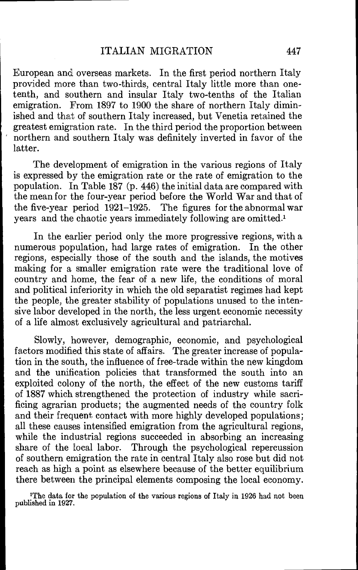European and overseas markets. In the first period northern Italy provided more than two-thirds, central Italy little more than onetenth, and southern and insular Italy two-tenths of the Italian emigration. From 1897 to 1900 the share of northern Italy diminished and that of southern Italy increased, but Venetia retained the greatest emigration rate. In the third period the proportion between northern and southern Italy was definitely inverted in favor of the latter.

The development of emigration in the various regions of Italy is expressed by the emigration rate or the rate of emigration to the population. In Table 187 (p. 446) the initial data are compared with the mean for the four-year period before the World War and that of the five-year period 1921–1925. The figures for the abnormal war The figures for the abnormal war years and the chaotic years immediately following are omitted.'

In the earlier period oniy the more progressive regions, with a numerous population, had large rates of emigration. In the other regions, especially those of the south and the islands, the motives making for a smaller emigration rate were the traditional love of country and home, the fear of a new life, the conditions of moral and political inferiority in which the old separatist regimes had kept the people, the greater stability of populations unused to the intensive labor developed in the north, the less urgent economic necessity of a life almost exclusively agricultural and patriarchal.

Slowly, however, demographic, economic, and psychological factors modified this state of affairs. The greater increase of population in the south, the influence of free-trade within the new kingdom and the unification policies that transformed the south into an exploited colony of the north, the effect of the new customs tariff of 1887 which strengthened the protection of industry while sacrificing agrarian products; the augmented needs of the country folk and their frequent contact with more highly developed populations; all these causes intensified emigration from the agricultural regions, while the industrial regions succeeded in absorbing an increasing share of the local labor. Through the psychological repercussion of southern emigration the rate in central Italy also rose but did not reach as high a point as elsewhere because of the better equilibrium there between the principal elements composing the local economy.

'The data for the population of the various regions of Italy in 1926 had not been published in 1927.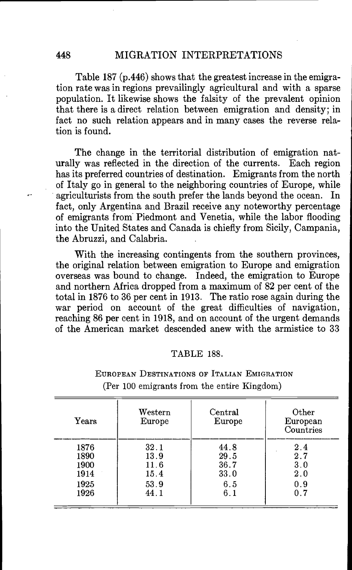Table 187 (p.446) shows that the greatest increase in the emigration rate was in regions prevailingly agricultural and with a sparse population. It likewise shows the falsity of the prevalent opinion that there is a direct relation between emigration and density; in fact no such relation appears and in many cases the reverse relation is found.

The change in the territorial distribution of emigration nat-<br>Iv was reflected in the direction of the currents. Each region urally was reflected in the direction of the currents. has its preferred countries of destination. Emigrants from the north of Italy go in general to the neighboring countries of Europe, while<br>agriculturists from the south prefer the lands beyond the ocean. In agriculturists from the south prefer the lands beyond the ocean. fact, only Argentina and Brazil receive any noteworthy percentage of emigrants from Piedmont and Venetia, while the labor flooding into the United States and Canada is chiefly from Sicily, Campania, the Abruzzi, and Calabria.

With the increasing contingents from the southern provinces, the original relation between emigration to Europe and emigration overseas was bound to change. Indeed, the emigration to Europe and northern Africa dropped from a maximum of 82 per cent of the total in 1876 to 36 per cent in 1913. The ratio rose again during the war period on account of the great difficulties of navigation, reaching 86 per cent in 1918, and on account of the urgent demands of the American market descended anew with the armistice to 33

#### TABLE 188.

| Years | Western<br>Europe | Central<br>Europe | Other<br>European<br>Countries |
|-------|-------------------|-------------------|--------------------------------|
| 1876  | 32.1              | 44.8              | 2.4                            |
| 1890  | 13.9              | 29.5              | 2.7                            |
| 1900  | 11.6              | 36.7              | 3.0                            |
| 1914  | 15.4              | 33.0              | 2.0                            |
| 1925  | 53.9              | 6.5               | 0.9                            |
| 1926  | 44.1              | 6.1               | 0.7                            |

## EUROPEAN DESTINATIONS OF ITALIAN EMIGRATION (Per 100 emigrants from the entire Kingdom)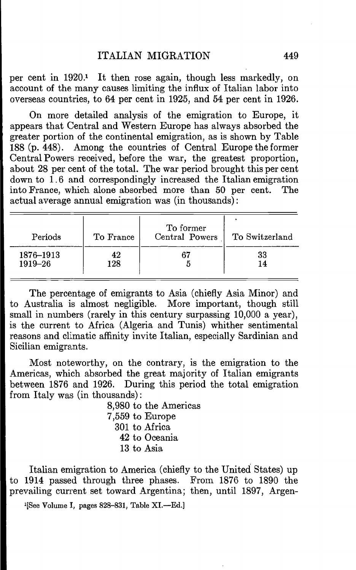per cent in 1920.1 It then rose again, though less markedly, on account of the many causes limiting the influx of Italian labor into overseas countries, to 64 per cent in 1925, and 54 per cent in 1926.

On more detailed analysis of the emigration to Europe, it appears that Central and Western Europe has always absorbed the greater portion of the continental emigration, as is shown by Table 188 (p. 448). Among the countries of Central Europe the former Central Powers received, before the war, the greatest proportion, about 28 per cent of the total. The war period brought this per cent down to 1.6 and correspondingly increased the Italian emigration into France, which alone absorbed more than 50 per cent. The actual average annual emigration was (in thousands):

| Periods   | To France | To former<br>Central Powers | To Switzerland |
|-----------|-----------|-----------------------------|----------------|
| 1876-1913 | 42        | 67                          | 33             |
| 1919-26   | 128       |                             | 14             |

The percentage of emigrants to Asia (chiefly Asia Minor) and to Australia is almost negligible. More important, though still small in numbers (rarely in this century surpassing 10,000 a year), is the current to Africa (Algeria and Tunis) whither sentimental reasons and climatic affinity invite Italian, especially Sardinian and Sicilian emigrants.

Most noteworthy, on the contrary, is the emigration to the Americas, which absorbed the great majority of Italian emigrants between 1876 and 1926. During this period the total emigration from Italy was (in thousands):

> 8,980 to the Americas 7,559 to Europe 301 to Africa 42 to Oceania 13 to Asia

Italian emigration to America (chiefly to the United States) up to 1914 passed through three phases. From 1876 to 1890 the prevailing current set toward Argentina; then, until 1897, Argen-

1[See Volume I, pages 828—831, Table XI.—Ed.]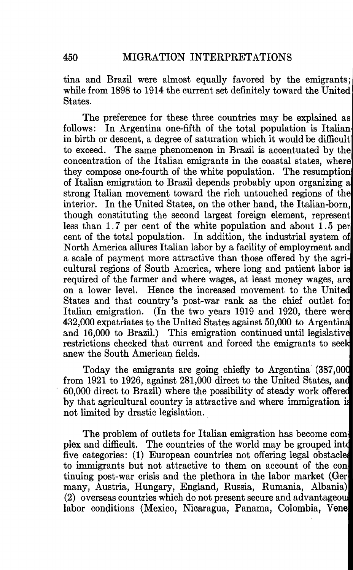tina and Brazil were almost equally favored by the emigrants; while from 1898 to 1914 the current set definitely toward the United States.

The preference for these three countries may be explained as follows: In Argentina one-fifth of the total population is Italian in birth or descent, a degree of saturation which it would be difficult to exceed. The same phenomenon in Brazil is accentuated by the concentration of the Italian emigrants in the coastal states, where' they compose one-fourth of the white population. The resumption of Italian emigration to Brazil depends probably upon organizing a strong Italian movement toward the rich untouched regions of the interior. In the United States, on the other hand, the Italian-born, though constituting the second largest foreign element, represent less than  $1.7$  per cent of the white population and about  $1.5$  per cent of the total population. In addition, the industrial system of North America allures Italian labor by a facility of employment and a scale of payment more attractive than those offered by the agri cultural regions of South America, where long and patient labor i required of the farmer and where wages, at least money wages, ar on a lower level. Hence the increased movement to the Unite States and that country's post-war rank as the chief outlet fo Italian emigration. (In the two years 1919 and 1920, there wer 432,000 expatriates to the United States against 50,000 to Argentin and 16,000 to Brazil.) This emigration continued until legislativ restrictions checked that current and forced the emigrants to seek anew the South American fields.

Today the emigrants are going chiefly to Argentina (387,00 from 1921 to 1926, against 281,000 direct to the United States, an 60,000 direct to Brazil) where the possibility of steady work offere by that agricultural country is attractive and where immigration i not limited by drastic legislation.

The problem of outlets for Italian emigration has become complex and difficult. The countries of the world may be grouped mt five categories: (1) European countries not offering legal obstacle to immigrants but not attractive to them on account of the continuing post-war crisis and the plethora in the labor market (Ger many, Austria, Hungary, England, Russia, Rumania, Albania) (2) overseas countries which do not present secure and advantageou labor conditions (Mexico, Nicaragua, Panama, Colombia, Vene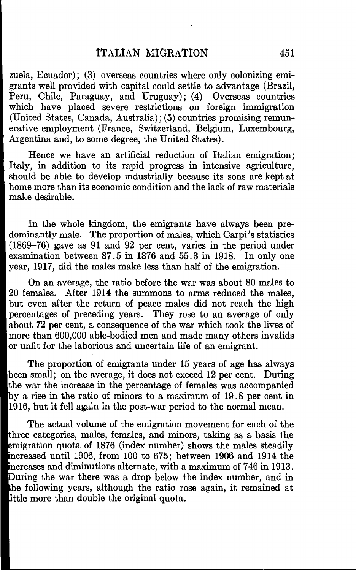zuela, Ecuador); (3) overseas countries where only colonizing emigrants well provided with capital could settle to advantage (Brazil, Peru, Chile, Paraguay, and Uruguay); (4) Overseas countries which have placed severe restrictions on foreign immigration (United States, Canada, Australia); (5) countries promising remunerative employment (France, Switzerland, Belgium, Luxembourg, Argentina and, to some degree, the United States).

Hence we have an artificial reduction of Italian emigration; Italy, in addition to its rapid progress in intensive agriculture, should be able to develop industrially because its sons are kept at home more than its economic condition and the lack of raw materials make desirable.

In the whole kingdom, the emigrants have always been predominantly male. The proportion of males, which Carpi 's statistics (1869—76) gave as 91 and 92 per cent, varies in the period under examination between 87.5 in 1876 and 55.3 in 1918. In only one year, 1917, did the males make less than half of the emigration.

On an average, the ratio before the war was about 80 males to 20 females. After 1914 the summons to arms reduced the males, but even after the return of peace males did not reach the high percentages of preceding years. They rose to an average of only about 72 per cent, a consequence of the war which took the lives of more than 600,000 able-bodied men and made many others invalids or unfit for the laborious and uncertain life of an emigrant.

The proportion of emigrants under 15 years of age has always been small; on the average, it does not exceed 12 per cent. During the war the increase in the percentage of females was accompanied by a rise in the ratio of minors to a maximum of 19.8 per cent in 1916, but it fell again in the post-war period to the normal mean.

The actual volume of the emigration movement for each of the bhree categories, males, females, and minors, taking as a basis the emigration quota of 1876 (index number) shows the males steadily [ncreased until 1906, from 100 to 675; between 1906 and 1914 the increases and diminutions alternate, with a maximum of 746 in 1913. During the war there was a drop below the index number, and in 1he following years, although the ratio rose again, it remained at ittle more than double the original quota.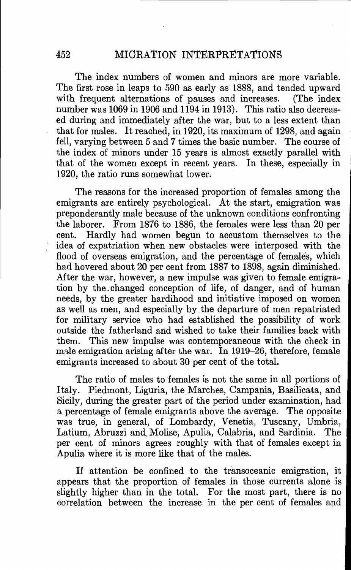The index numbers of women and minors are more variable. The first rose in leaps to 590 as early as 1888, and tended upward with frequent alternations of pauses and increases. (The index number was 1069 in 1906 and 1194 in 1913). This ratio also decreased during and immediately after the war, but to a less extent than that for males. It reached, in 1920, its maximum of 1298, and again fell, varying between 5 and 7 times the basic number. The course of the index of minors under 15 years is almost exactly parallel with that of the women except in recent years. In these, especially in 1920, the ratio runs somewhat lower.

The reasons for the increased proportion of females among the emigrants are entirely psychological. At the start, emigration was preponderantly male because of the unknown conditions confronting the laborer. From 1876 to 1886, the females were less than 20 per cent. Hardly had women begun to accustom themselves to the idea of expatriation when new obstacles were interposed with the flood of overseas emigration, and the percentage of females, which had hovered about 20 per cent from 1887 to 1898, again diminished. After the war, however, a new impulse was given to female emigration by the. changed conception of life, of danger, and of human needs, by the greater hardihood and initiative imposed on women as well as men, and especially by the departure of men repatriated for military service who had established the possibility of work outside the fatherland and wished to take their families back with them. This new impulse was contemporaneous with the check in male emigration arising after the war. In 1919–26, therefore, female emigrants increased to about 30 per cent of the total.

The ratio of males to females is not the same in all portions of Italy. Piedmont, Liguria, the Marches, Campania, Basilicata, and Sicily, during the greater part of the period under examination, had a percentage of female emigrants above the average. The opposite was true, in general, of Lombardy, Venetia, Tuscany, Umbria, Latium, Abruzzi and Molise, Apulia, Calabria, and Sardinia. The per cent of minors agrees roughly with that of females except in Apulia where it is more like that of the males.

If attention be confined to the transoceanic emigration, it appears that the proportion of females in those currents alone is slightly higher than in the total. For the most part, there is no correlation between the increase in the per cent of females and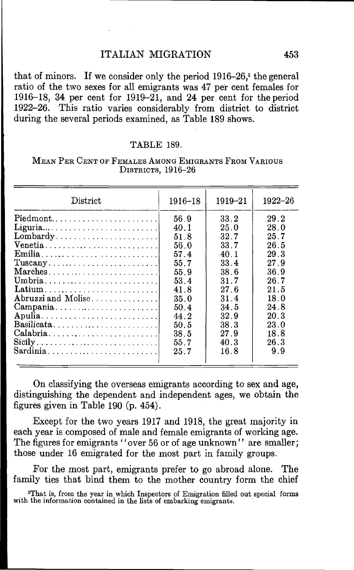## ITALIAN MIGRATION 453

that of minors. If we consider only the period  $1916-26$ ,<sup>1</sup> the general ratio of the two sexes for all emigrants was 47 per cent females for 19 16—18, 34 per cent for 1919—21, and 24 per cent for the period 1922—26. This ratio varies considerably from district to district during the several periods examined, as Table 189 shows.

## TABLE 189.

| District                                                              | 1916–18 | 1919–21 | 1922–26 |
|-----------------------------------------------------------------------|---------|---------|---------|
| Piedmont                                                              | 56.9    | 33.2    | 29.2    |
|                                                                       | 40.1    | 25.0    | 28.0    |
|                                                                       | 51.8    | 32.7    | 25.7    |
| Venetia                                                               | 56.0    | 33.7    | 26.5    |
|                                                                       | 57.4    | $-40.1$ | 29.3    |
|                                                                       | 55.7    | 33.4    | 27.9    |
| Marches                                                               | 55.9    | 38.6    | 36.9    |
| Umbria                                                                | 53.4    | 31.7    | 26.7    |
| Latium                                                                | 41.8    | 27.6    | 21.5    |
| Abruzzi and Molise                                                    | 35.0    | 31.4    | 18.0    |
| Campania                                                              | 50.4    | 34.5    | 24.8    |
| Apulia                                                                | 44.2    | 32.9    | 20.3    |
| Basilicata                                                            | 50.5    | 38.3    | 23.0    |
| Calabria                                                              | 38.5    | 27.9    | 18.8    |
| $\text{Sicily} \dots \dots \dots \dots \dots \dots \dots \dots \dots$ | 55.7    | 40.3    | 26.3    |
| Sardinia                                                              | 25.7    | 16.8    | 9.9     |

## MEAN PER CENT OF FEMALES AMONG EMIGRANTS FROM VARIoUs DISTRICTS, 1916-26

On classifying the overseas emigrants according to sex and age, distinguishing the dependent and independent ages, we obtain the figures given in Table 190 (p. 454).

Except for the two years 1917 and 1918, the great majority in each year is composed of male and female emigrants of working age. The figures for emigrants "over 56 or of age unknown" are smaller; those under 16 emigrated for the most part in family groups.

For the most part, emigrants prefer to go abroad alone. The family ties that bind them to the mother country form the chief

'That is, from the year in which Inspectors of Emigration filled out special forms with the information contained in the lists of embarking emigrants.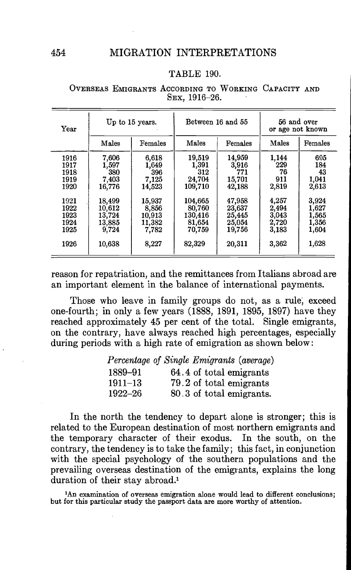## TABLE 190.

| Year | Up to 15 years. |         | Between 16 and 55 |         | 56 and over<br>or age not known |         |  |
|------|-----------------|---------|-------------------|---------|---------------------------------|---------|--|
|      | Males           | Females | Males             | Females | Males                           | Females |  |
| 1916 | 7,606           | 6,618   | 19,519            | 14,959  | 1,144                           | 695     |  |
| 1917 | 1,597           | 1,649   | 1,391             | 3,916   | 229                             | 184     |  |
| 1918 | 380             | 396     | 312               | 771     | 76                              | 43      |  |
| 1919 | 7,403           | 7,125   | 24,704            | 15,701  | 911                             | 1,041   |  |
| 1920 | 16,776          | 14.523  | 109,710           | 42,188  | 2,819                           | 2,613   |  |
| 1921 | 18,499          | 15.937  | 104.665           | 47,958  | 4,257                           | 3,924   |  |
| 1922 | 10,612          | 8,856   | 80,760            | 23,637  | 2,494                           | 1,627   |  |
| 1923 | 13,724          | 10,913  | 130,416           | 25,445  | 3,043                           | 1,565   |  |
| 1924 | 13,885          | 11,382  | 81,654            | 25,054  | 2,720                           | 1,356   |  |
| 1925 | 9,724           | 7,782   | 70.759            | 19,756  | 3,183                           | 1,604   |  |
| 1926 | 10,638          | 8,227   | 82,329            | 20,311  | 3,362                           | 1,628   |  |

#### OVERSEAS EMIGRANTS ACCORDING TO WORKING CAPACITY AND SEX, 1916—26.

reason for repatriation, and the remittances from Italians abroad are an important element in the balance of international payments.

Those who leave in family groups do not, as a rule; exceed one-fourth; in only a few years (1888, 1891, 1895, 1897) have they reached approximately 45 per cent of the total. Single emigrants, on the contrary, have always reached high percentages, especially during periods with a high rate of emigration as shown below:

|             | Percentage of Single Emigrants (average) |  |
|-------------|------------------------------------------|--|
| 1889-91     | 64.4 of total emigrants                  |  |
| $1911 - 13$ | 79.2 of total emigrants                  |  |
| 1922–26     | 80.3 of total emigrants.                 |  |

In the north the tendency to depart alone is stronger; this is related to the European destination of most northern emigrants and the temporary character of their exodus. In the south, on the contrary, the tendency is to take the family; this fact, in conjunction with the special psychology of the southern populations and the prevailing overseas destination of the emigrants, explains the long duration of their stay abroad.<sup>1</sup>

<sup>1</sup>An examination of overseas emigration alone would lead to different conclusions; but for this particular study the passport data are more worthy of attention.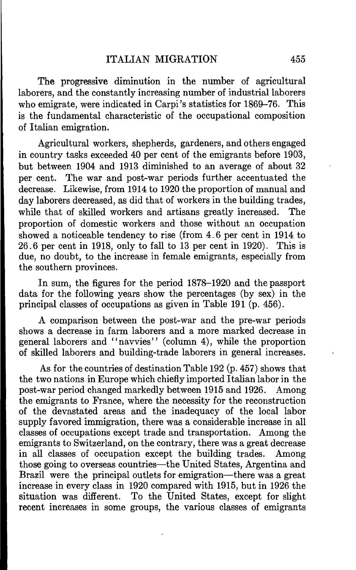The progressive diminution in the number of agricultural laborers, and the constantly increasing number of industrial laborers who emigrate, were indicated in Carpi's statistics for 1869–76. This is the fundamental characteristic of the occupational composition of Italian emigration.

Agricultural workers, shepherds, gardeners, and others engaged in country tasks exceeded 40 per cent of the emigrants before 1903, but between 1904 and 1913 diminished to an average of about 32 per cent. The war and post-war periods further accentuated the decrease. Likewise, from 1914 to 1920 the proportion of manual and day laborers decreased, as did that of workers in the building trades, while that of skilled workers and artisans greatly increased. The proportion of domestic workers and those without an occupation showed a noticeable tendency to rise (from 4.6 per cent in 1914 to 26.6 per cent in 1918, only to fall to 13 per cent in 1920). This is due, no doubt, to the increase in female emigrants, especially from the southern provinces.

In sum, the figures for the period 1878—1920 and the passport data for the following years show the percentages (by sex) in the principal classes of occupations as given in Table 191 (p. 456).

A comparison between the post-war and the pre-war periods shows a decrease in farm laborers and a more marked decrease in general laborers and "navvies" (column 4), while the proportion of skilled laborers and building-trade laborers in general increases.

As for the countries of destination Table 192 (p. 457) shows that the two nations in Europe which chiefly imported Italian labor in the post-war period changed markedly between 1915 and 1926. Among the emigrants to France, where the necessity for the reconstruction of the devastated areas and the inadequacy of the local labor supply favored immigration, there was a considerable increase in all classes of occupations except trade and transportation. Among the emigrants to Switzerland, on the contrary, there was a great decrease in all classes of occupation except the building trades. Among those going to overseas countries—the United States, Argentina and Brazil were the principal outlets for emigration—there was a great increase in every class in 1920 compared with 1915, but in 1926 the situation was different. To the United States, except for slight recent increases in some groups, the various classes of emigrants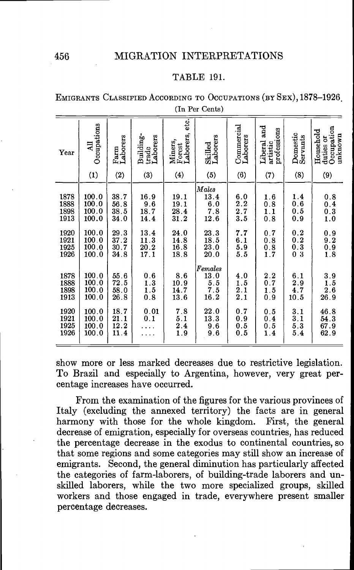#### TABLE 191.

EMIGRANTS CLASSIFIED ACCORDING TO OCCUPATIONS (BY SEX), 1878-1926 (In Per Cents)

| Year                         | Occupations<br>$\Xi$                                            | Farm<br>Laborers                                            | Building-<br>trade<br>Laborers                              | etc.<br>Forest<br>Laborers,<br>Miners,                      | Skilled<br>Laborers                                                           | $\fbox{Comment} \label{eq:1}$<br>Laborers                     | and<br>professions<br>Liberal<br>artistic                                     | Domestic<br>Servants                                                                    | Occupation<br>Household<br>unknown<br>duties or               |
|------------------------------|-----------------------------------------------------------------|-------------------------------------------------------------|-------------------------------------------------------------|-------------------------------------------------------------|-------------------------------------------------------------------------------|---------------------------------------------------------------|-------------------------------------------------------------------------------|-----------------------------------------------------------------------------------------|---------------------------------------------------------------|
|                              | (1)                                                             | (2)                                                         | (3)                                                         | (4)                                                         | (5)                                                                           | (6)                                                           | (7)                                                                           | (8)                                                                                     | (9)                                                           |
| 1878<br>1888<br>1898<br>1913 | 100.0<br>$\begin{array}{c} 100.0 \\ 100.0 \end{array}$<br>100.0 | 38.7<br>$\frac{56.8}{38.5}$<br>34.0                         | $\begin{array}{c} 16.9 \\ 9.6 \\ 18.7 \end{array}$<br>14.4  | $\begin{array}{c} 19.1 \\ 19.1 \\ 28.4 \\ 31.2 \end{array}$ | Males<br>$\begin{array}{c} 13.4 \\ 6.0 \\ 7.8 \\ 12.6 \end{array}$            | $\begin{smallmatrix} 6.0\\ 2.2\\ 2.7\\ 3.5 \end{smallmatrix}$ | $\begin{smallmatrix} 1.6 \\ 0.8 \\ 1.1 \end{smallmatrix}$<br>$\overline{0.8}$ | $\frac{1.4}{0.6}$<br>0.5<br>0.9                                                         | $\begin{array}{c} 0.8 \\ 0.4 \\ 0.3 \\ 1.0 \end{array}$       |
| 1920<br>1921<br>1925<br>1926 | 100.0<br>100.0<br>100.0<br>100.0                                | $\begin{array}{c} 29.3 \\ 37.2 \end{array}$<br>30.7<br>34.8 | $\begin{array}{c} 13.4 \\ 11.3 \\ 20.2 \\ 17.1 \end{array}$ | $24.0$<br>$14.8$<br>$16.8$<br>$18.8$                        | $\begin{array}{c} 23.3 \\ 18.5 \\ 23.0 \end{array}$<br>20.0                   | 7.7<br>$\begin{array}{c} 6.1\ 5.9\ 5.5 \end{array}$           | $\begin{array}{c} 0.7 \\ 0.8 \\ 0.8 \\ 1.7 \end{array}$                       | $\begin{smallmatrix} 0.2\\ 0.2\\ 0.3 \end{smallmatrix}$<br>$\frac{1}{3}$<br>$\tilde{0}$ | $\begin{smallmatrix} 0.9\\ 9.2\\ 0.9\\ 1.8 \end{smallmatrix}$ |
| 1878<br>1888<br>1898<br>1913 | 100.0<br>100.0<br>100.0<br>100.0                                | $\begin{array}{c} 55.6 \\ 72.5 \\ 58.0 \\ 26.8 \end{array}$ | $\begin{array}{c} 0.6 \\ 1.3 \\ 1.5 \\ 0.8 \end{array}$     | $8.6$<br>$10.9$<br>$14.7$<br>$13.6$                         | $\begin{array}{c} \textit{Females} \\ 13.0 \\ 5.5 \\ 7.5 \\ 16.2 \end{array}$ | $\begin{array}{c} 4.0 \\ 1.5 \\ 2.1 \\ 2.1 \end{array}$       | $\begin{smallmatrix} 2.2\\ 0.7\\ 1.5 \end{smallmatrix}$<br>$\overline{0}$ :9  | $\begin{array}{c} 6.1 \\ 2.9 \\ 4.7 \\ 10.5 \end{array}$                                | $\begin{array}{c} 3.9 \\ 1.5 \\ 2.6 \\ 26.9 \end{array}$      |
| 1920<br>1921<br>1925<br>1926 | 100.0<br>100.0<br>100.0<br>100.0                                | $\frac{18.7}{21.1}$<br>12.2<br>11.4                         | $\begin{smallmatrix} 0.01\\ 0.1 \end{smallmatrix}$          | $7.8$<br>$5.1$<br>$2.4$<br>$1.9$                            | $\begin{array}{c} 22.0 \\ 13.3 \end{array}$<br>g<br>9<br>$\frac{6}{6}$        | $\begin{array}{c} 0.7 \\ 0.9 \\ 0.5 \\ 0.5 \end{array}$       | $\begin{array}{c} 0.5 \\ 0.4 \\ 0.5 \\ 1.4 \end{array}$                       | $\begin{array}{c} 3.1 \\ 3.1 \\ 5.3 \\ 5.4 \end{array}$                                 | $46.8$<br>$54.3$<br>$67.9$<br>$62.9$                          |

show more or less marked decreases due to restrictive legislation. To Brazil and especially to Argentina, however, very great percentage increases have occurred.

From the examination of the figures for the various provinces of Italy (excluding the annexed territory) the facts are in general harmony with those for the whole kingdom. First, the general harmony with those for the whole kingdom. decrease of emigration, especially for overseas countries, has reduced the percentage decrease in the exodus to continental countries, so that some regions and some categories may still show an increase of emigrants. Second, the general diminution has particularly affected the categories of farm-laborers, of building-trade laborers and unskilled laborers, while the two more specialized groups, skilled workers and those engaged in trade, everywhere present smaller percentage decreases.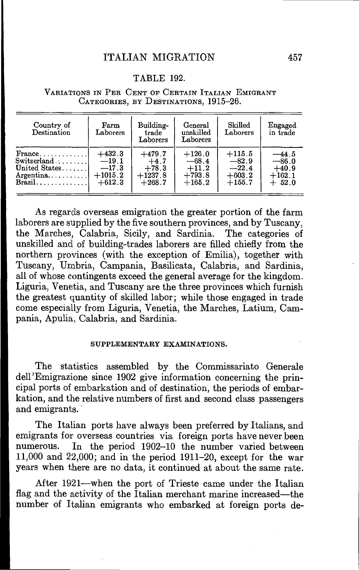## TABLE 192.

| Country of<br>Destination                 | Farm<br>Laborers | Building-<br>trade<br>Laborers | General<br>unskilled<br>Laborers | Skilled<br>Laborers | Engaged<br>in trade |
|-------------------------------------------|------------------|--------------------------------|----------------------------------|---------------------|---------------------|
| $\textbf{France}, \ldots, \ldots, \ldots$ | $+432.3$         | $+479.7$                       | $+126.0$                         | $+115.5$            | $-44.5$             |
| $\text{Switzerland}\dots\dots\dots$       | $-19.1$          | $+4.7$                         | $-68.4$                          | $-82.9$             | $-86.0$             |
| United States                             | $-17.3$          | $+78.3$                        | $+11.2$                          | $-22.4$             | $+40.9$             |
| $\text{Argentina} \dots \dots \dots$      | $+1015.2$        | $+1237.8$                      | $+793.8$                         | $+603.2$            | $+162.1$            |
| $Brazil. \ldots \ldots \ldots$            | $+612.3$         | $+268.7$                       | $+165.2$                         | $+155.7$            | $+52.0$             |

#### VARIATIONS IN PER CENT OF CERTAIN ITALIAN EMIGRANT CATEGORIES, BY DESTINATIONS, 1915—26.

As regards overseas emigration the greater portion of the farm laborers are supplied by the five southern provinces, and by Tuscany, the Marches, Calabria, Sicily, and Sardinia. The categories of unskilled and of building-trades laborers are filled chiefly from the northern provinces (with the exception of Emilia), together with Tuscany, Umbria, Campania, Basilicata, Calabria, and Sardinia, all of whose contingents exceed the general average for the kingdom. Liguria, Venetia, and Tuscany are the three provinces which furnish the greatest quantity of skilled labor; while those engaged in trade come especially from Liguria, Venetia, the Marches, Latium, Campania, Apulia, Calabria, and Sardinia.

#### SUPPLEMENTARY EXAMINATIONS.

The statistics assembled by the Commissariato Generale dell'Emigrazione since 1902 give information concerning the principal ports of embarkation and of destination, the periods of embarkation, and the relative numbers of first and second class passengers and emigrants.

The Italian ports have always been preferred by Italians, and emigrants for overseas countries via foreign ports have never been numerous. In the period 1902—10 the number varied between 11,000 and 22,000; and in the period 1911—20, except for the war years when there are no data, it continued at about the same rate.

After 1921—when the port of Trieste came under the Italian flag and the activity of the Italian merchant marine increased—the number of Italian emigrants who embarked at foreign ports de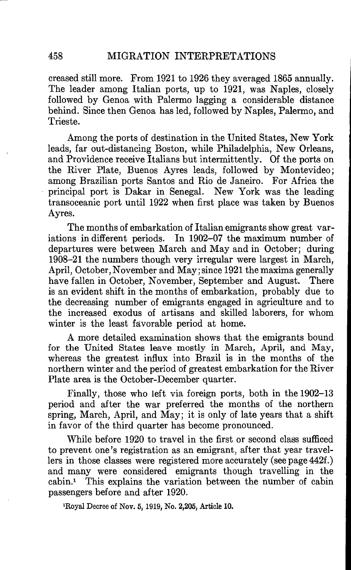creased still more. From 1921 to 1926 they averaged 1865 annually. The leader among Italian ports, up to 1921, was Naples, closely followed by Genoa with Palermo lagging a considerable distance behind. Since then Genoa has led, followed by Naples, Palermo, and Trieste.

Among the ports of destination in the United States, New York leads, far out-distancing Boston, while Philadelphia, New Orleans, and Providence receive Italians but intermittently. Of the ports on the River Plate, Buenos Ayres leads, followed by Montevideo; among Brazilian ports Santos and Rio de Janeiro. For Africa the principal port is Dakar in Senegal. New York was the leading transoceanic port until 1922 when first place was taken by Buenos Ayres.

The months of embarkation of Italian emigrants show great variations in different periods. In 1902—07 the maximum number of departures were between March and May and in October; during 1908—21 the numbers though very irregular were largest in March, April, October, November and May; since 1921 the maxima generally have fallen in October, November, September and August. There is an evident shift in the months of embarkation, probably due to the decreasing number of emigrants engaged in agriculture and to the increased exodus of artisans and skilled laborers, for whom winter is the least favorable period at home.

A more detailed examination shows that the emigrants bound for the United States leave mostly in March, April, and May, whereas the greatest influx into Brazil is in the months of the northern winter and the period of greatest embarkation for the River Plate area is the October-December quarter.

Finally, those who left via foreign ports, both in the 1902—13 period and after the war preferred the months of the northern spring, March, April, and May; it is only of late years that a shift in favor of the third quarter has become pronounced.

While before 1920 to travel in the first or second class sufficed to prevent one's registration as an emigrant, after that year travellers in those classes were registered more accurately (see page 442f.) and many were considered emigrants though travelling in the cabin.' This explains the variation between the number of cabin passengers before and after 1920.

'Royal Decree of Nov. 5, 1919, No. 2,205, Article 10.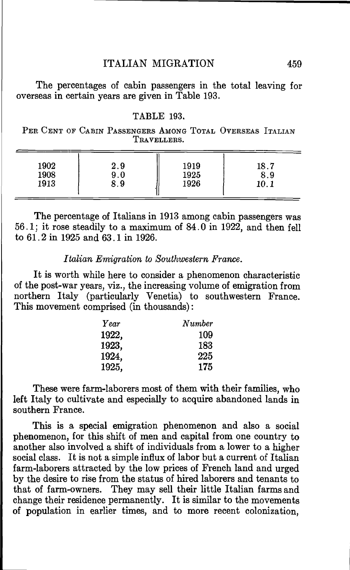## ITALIAN MIGRATION 459

The percentages of cabin passengers in the total leaving for overseas in certain years are given in Table 193.

## TABLE 193.

PER CENT OF CABIN PASSENGERS AMONG TOTAL OVERSEAS ITALIAN TRAVELLERS.

| 1902<br>2.9<br>1908<br>9.0<br>1913<br>8.9 | 1919<br>1925<br>1926 | 18.7<br>8.9<br>10.1 |  |
|-------------------------------------------|----------------------|---------------------|--|
|-------------------------------------------|----------------------|---------------------|--|

The percentage of Italians in 1913 among c abin passengers was 56.1; it rose steadily to a maximum of 84.0 in 1922, and then fell to 61.2 in 1925 and 63.1 in 1926.

## Italian Emigration to Southwestern France.

It is worth while here to consider a phenomenon characteristic of the post-war years, viz., the increasing volume of emigration from northern Italy (particularly Venetia) to southwestern France. This movement comprised (in thousands):

| Year  | Number |  |
|-------|--------|--|
| 1922, | 109    |  |
| 1923, | 183    |  |
| 1924, | 225    |  |
| 1925, | 175    |  |

These were farm-laborers most of them with their families, who left Italy to cultivate and especially to acquire abandoned lands in southern France.

This is a special emigration phenomenon and also a social phenomenon, for this shift of men and capital from one country to another also involved a shift of individuals from a lower to a higher social class. It is not a simple influx of labor but a current of Italian farm-laborers attracted by the low prices of French land and urged by the desire to rise from the status of hired laborers and tenants to that of farm-owners. They may sell their little Italian farms and change their residence permanently. It is similar to the movements of population in earlier times, and to more recent colonization,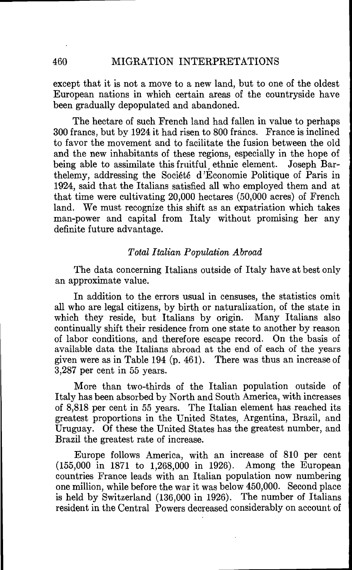except that it is not a move to a new land, but to one of the oldest European nations in which certain areas of the countryside have been gradually depopulated and abandoned.

The hectare of such French land had fallen in value to perhaps 300 francs, but by 1924 it had risen to 800 France is inclined to favor the movement and to facilitate the fusion between the old and the new inhabitants of these regions, especially in the hope of being able to assimilate this fruitful, ethnic element. Joseph Barthelemy, addressing the Société d 'Economie Politique of Paris in 1924, said that the Italians satisfied all who employed them and at that time were cultivating 20,000 hectares (50,000 acres) of French land. We must recognize this shift as an expatriation which takes man-power and capital from Italy without promising her any definite future advantage.

## Total Italian Population Abroad

The data concerning Italians outside of Italy have at best only an approximate value.

In addition to the errors usual in censuses, the statistics omit all who are legal citizens, by birth or naturalization, of the state in which they reside, but Italians by origin. Many Italians also continually shift their residence from one state to another by reason of labor conditions, and therefore escape record. On the basis of available data the Italians abroad at the end of each of the years given were as in Table 194 (p. 461). There was thus an increase of 3,287 per cent in 55 years.

More than two-thirds of the Italian population outside of Italy has been absorbed by North and South America, with increases of 8,818 per cent in 55 years. The Italian element has reached its greatest proportions in the United States, Argentina, Brazil, and Uruguay. Of these the United States has the greatest number, and Brazil the greatest rate of increase.

Europe follows America, with an increase of 810 per cent (155,000 in 1871 to 1,268,000 in 1926). Among the European countries France leads with an Italian population now numbering one million, while before the war it was below 450,000. Second place is held by Switzerland (136,000 in 1926). The number of Italians resident in the Central Powers decreased considerably on account of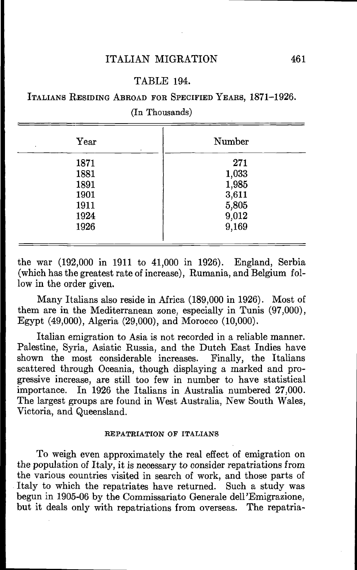## TABLE 194.

## ITALIANS RESIDING ABROAD FOR SPECIFIED YEARS, 1871—1926.

(In Thousands)

| Year<br>٠<br>٠ | Number |
|----------------|--------|
| 1871           | 271    |
| 1881           | 1,033  |
| 1891           | 1,985  |
| 1901           | 3,611  |
| 1911           | 5,805  |
| 1924           | 9,012  |
| 1926           | 9,169  |
|                |        |

the war (192,000 in 1911 to 41,000 in 1926). England, Serbia (which has the greatest rate of increase), Rumania, and Belgium follow in the order given.

Many Italians also reside in Africa (189,000 in 1926). Most of them are in the Mediterranean zone, especially in Tunis (97,000), Egypt (49,000), Algeria (29,000), and Morocco (10,000).

Italian emigration to Asia is not recorded in a reliable manner. Palestine, Syria, Asiatic Russia, and the Dutch East Indies have shown the most considerable increases. Finally, the Italians scattered through Oceania, though displaying a marked and progressive increase, are still too few in number to have statistical importance. In 1926 the Italians in Australia numbered 27,000. In 1926 the Italians in Australia numbered 27,000. The largest groups are found in West Australia, New South Wales, Victoria, and Queensland.

#### REPATRIATION OF ITALIANS

To weigh even approximately the real effect of emigration on the population of Italy, it is necessary to consider repatriations from the various countries visited in search of work, and those parts of Italy to which the repatriates have returned. Such a study was begun in 1905-06 by the Commissariato Generale dell'Emigrazione, but it deals only with repatriations from overseas. The repatria-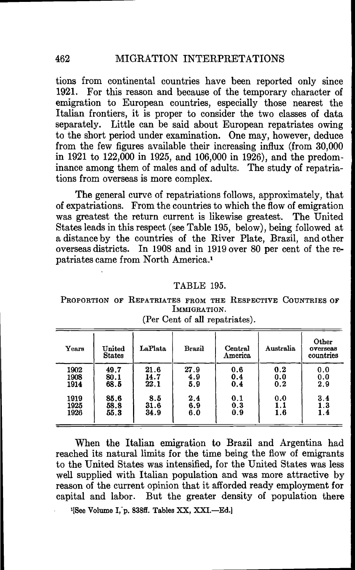tions from continental countries have been reported only since 1921. For this reason and because of the temporary character of emigration to European countries, especially those nearest the Italian frontiers, it is proper to consider the two classes of data separately. Little can be said about European repatriates owing to the short period under examination. One may, however, deduce from the few figures available their increasing influx (from 30,000 in 1921 to 122,000 in 1925, and 106,000 in 1926), and the predominance among them of males and of adults. The study of repatriations from overseas is more complex.

The general curve of repatriations follows, approximately, that of expatriations. From the countries to which the flow of emigration was greatest the return current is likewise greatest. The United States leads in this respect (see Table 195, below), being followed at a distance by the countries of the River Plate, Brazil, and other overseas districts. In 1908 and in 1919 over 80 per cent of the repatriates came from North America.'

## TABLE 195.

PROPORTION OF REPATRIATES FROM THE RESPECTIVE COUNTRIES OF IMMIGRATION.

| Years | $United$<br><b>States</b> | LaPlata | Brazil | Central<br>America | Australia | Other<br>overseas<br>countries |
|-------|---------------------------|---------|--------|--------------------|-----------|--------------------------------|
| 1902  | 49.7                      | 21.6    | 27.9   | 0.6                | 0.2       | 0.0                            |
| 1908  | 80.1                      | 14.7    | 4.9    | 0.4                | 0.0       | 0.0                            |
| 1914  | 68.5                      | 22.1    | 5.9    | 0.4                | 0.2       | 2.9                            |
| 1919  | 85.6                      | 8.5     | 2.4    | 0.1                | 0.0       | 3.4                            |
| 1925  | 58.8                      | 31.6    | 6.9    | 0.3                | 1.1       | 1.3                            |
| 1926  | 55.3                      | 34.9    | 6.0    | 0.9                | 1.6       | 1.4                            |

(Per Cent of all repatriates).

When the Italian emigration to Brazil and Argentina had reached its natural limits for the time being the flow of emigrants to the United States was intensified, for the United States was less well supplied with Italian population and was more attractive by reason of the current opinion that it afforded ready employment for capital and labor. But the greater density of population there

<sup>1</sup>[See Volume I, p. 838ff. Tables XX, XXI.-Ed.]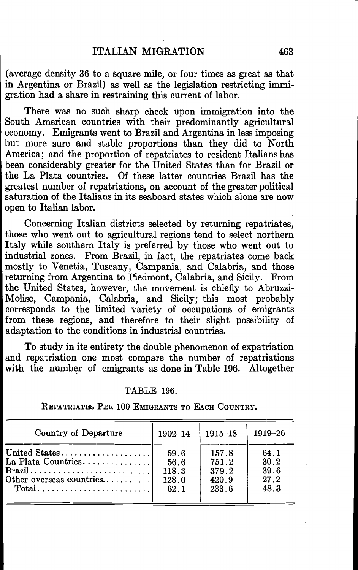(average density 36 to a square mile, or four times as great as that in Argentina or Brazil) as well as the legislation restricting immigration had a share in restraining this current of labor.

There was no such sharp check upon immigration into the South American countries with their predominantly agricultural economy. Emigrants went to Brazil and Argentina in less imposing but more sure and stable proportions than they did to North America; and the proportion of repatriates to resident Italians has been considerably greater for the United States than for Brazil or the La Plata countries. Of these latter countries Brazil has the greatest number of repatriations, on account of the greater political saturation of the Italians in its seaboard states which alone are now open to Italian labor.

Concerning Italian districts selected by returning repatriates, those who went out to agricultural regions tend to select northern Italy while southern Italy is preferred by those who went out to industrial zones. From Brazil, in fact, the repatriates come back mostly to Venetia, Tuscany, Campania, and Calabria, and those returning from Argentina to Piedmont, Calabria, and Sicily. From the United States, however, the movement is chiefly to Abruzzi— Molise, Campania, Calabria, and Sicily; this most probably corresponds to the limited variety of occupations of emigrants from these regions, and therefore to their slight possibility of adaptation to the conditions in industrial countries.

To study in its entirety the double phenomenon of expatriation and repatriation one most compare the number of repatriations with the number of emigrants as done in Table 196. Altogether

#### TABLE 196.

REPATRIATES PER 100 EMIGRANTS TO EACH COUNTRY.

| Country of Departure     | $1902 - 14$ | $1915 - 18$ | 1919-26 |
|--------------------------|-------------|-------------|---------|
| United States            | 59.6        | 157.8       | 64.1    |
| La Plata Countries       | 56.6        | 751.2       | 30.2    |
|                          | 118.3       | 379.2       | 39.6    |
| Other overseas countries | 128.0       | 420.9       | 27.2    |
|                          | 62.1        | 233.6       | 48.3    |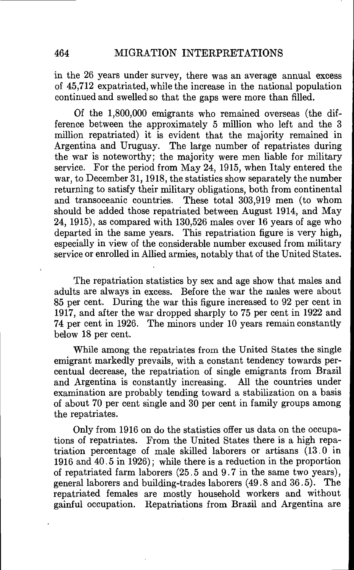in the 26 years under survey, there was an average annual excess of 45,712 expatriated, while the increase in the national population continued and swelled so that the gaps were more than filled.

Of the 1,800,000 emigrants who remained overseas (the difference between the approximately 5 million who left and the 3 million repatriated) it is evident that the majority remained in Argentina and Uruguay. The large number of repatriates during the war is noteworthy; the majority were men liable for military service. For the period from May 24, 1915, when Italy entered the war, to December 31, 1918, the statistics show separately the number returning to satisfy their military obligations, both from continental<br>and transoceanic countries. These total 303.919 men (to whom These total 303,919 men (to whom should be added those repatriated between August 1914, and May 24, 1915), as compared with 130,526 males over 16 years of age who departed in the same years. This repatriation figure is very high, especially in view of the considerable number excused from military service or enrolled in Allied armies, notably that of the United States.

The repatriation statistics by sex and age show that males and adults are always in excess. Before the war the males were about 85 per cent. During the war this figure increased to 92 per cent in 1917, and after the war dropped sharply to 75 per cent in 1922 and 74 per cent in 1926. The minors under 10 years remain constantly below 18 per cent.

While among the repatriates from the United States the single emigrant markedly prevails, with a constant tendency towards percentual decrease, the repatriation of single emigrants from Brazil and Argentina is constantly increasing. All the countries under examination are probably tending toward a stabilization on a basis of about 70 per cent single and 30 per cent in family groups among the repatriates.

Only from 1916 on do the statistics offer us data on the occupations of repatriates. From the United States there is a high repatriation percentage of male skilled laborers or artisans  $(13.0 \text{ in}$ 1916 and 40.5 in 1926); while there is a reduction in the proportion of repatriated farm laborers (25.5 and 9.7 in the same two years), general laborers and building-trades laborers (49.8 and 36.5). The repatriated females are mostly household workers and without gainful occupation. Repatriations from Brazil and Argentina are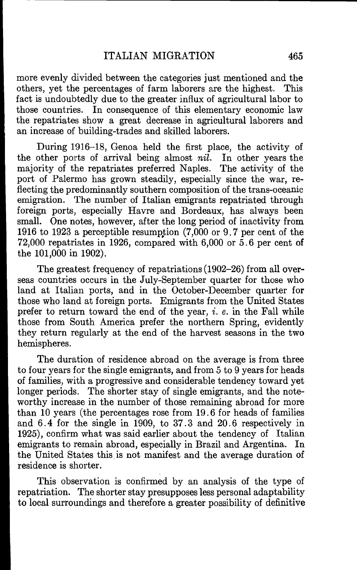more evenly divided between the categories just mentioned and the others, yet the percentages of farm laborers are the highest. This fact is undoubtedly due to the greater influx of agricultural labor to those countries. In consequence of this elementary economic law the repatriates show a great decrease in agricultural laborers and an increase of building-trades and skilled laborers.

During 1916—18, Genoa held the first place, the activity of the other ports of arrival being almost nil. In other years the majority of the repatriates preferred Naples. The activity of the port of Palermo has grown steadily, especially since the war, reflecting the predominantly southern composition of the trans-oceanic emigration. The number of Italian emigrants repatriated through foreign ports, especially Havre and Bordeaux, has always been small. One notes, however, after the long period of inactivity from 1916 to 1923 a perceptible resumption  $(7,000 \text{ or } 9,7 \text{ per cent of the})$ 72,000 repatriates in 1926, compared with 6,000 or 5.6 per cent of the 101,000 in 1902).

The greatest frequency of repatriations (1902—26) from all overseas countries occurs in the July-September quarter for those who land at Italian ports, and in the October-December quarter for those who land at foreign ports. Emigrants from the United States prefer to return toward the end of the year,  $i. e.$  in the Fall while those from South America prefer the northern Spring, evidently they return regularly at the end of the harvest seasons in the two hemispheres.

The duration of residence abroad on the average is from three to four years for the single emigrants, and from 5 to 9 years for heads of families, with a progressive and considerable tendency toward yet longer periods. The shorter stay of single emigrants, and the noteworthy increase in the number of those remaining abroad for more than 10 years (the percentages rose from 19.6 for heads of families and 6.4 for the single in 1909, to 37.3 and 20.6 respectively in 1925), confirm what was said earlier about the tendency of Italian emigrants to remain abroad, especially in Brazil and Argentina. In the United States this is not manifest and the average duration of residence is shorter.

This observation is confirmed by an analysis of the type of repatriation. The shorter stay presupposes less personal adaptability to local surroundings and therefore a greater possibility of definitive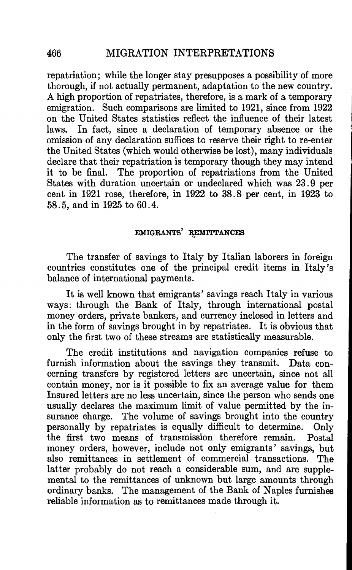repatriation; while the longer stay presupposes a possibility of more thorough, if not actually permanent, adaptation to the new country. A high proportion of repatriates, therefore, is a mark of a temporary emigration. Such comparisons are limited to 1921, since from 1922 on the United States statistics reflect the influence of their latest<br>laws. In fact, since a declaration of temporary absence or the In fact, since a declaration of temporary absence or the omission of any declaration suffices to reserve their right to re-enter the United States (which would otherwise be lost), many individuals declare that their repatriation is temporary though they may intend<br>it to be final. The proportion of repatriations from the United The proportion of repatriations from the United States with duration uncertain or undeclared which was 23.9 per cent in 1921 rose, therefore, in 1922 to 38.8 per cent, in 1923 to 58.5, and in 1925 to 60.4.

## EMIGRANTS' REMITTANCES

The transfer of savings to Italy by Italian laborers in foreign countries constitutes one of the principal credit items in Italy's balance of international payments.

It is well known that emigrants' savings reach Italy in various ways: through the Bank of Italy, through international postal money orders, private bankers, and currency inclosed in letters and in the form of savings brought in by repatriates. It is obvious that only the first two of these streams are statistically measurable.

The credit institutions and navigation companies refuse to furnish information about the savings they transmit. Data concerning transfers by registered letters are uncertain, since not all contain money, nor is it possible to fix an average value for them Insured letters are no less uncertain, since the person who sends one usually declares the maximum limit of value permitted by the insurance charge. The volume of savings brought into the country personally by repatriates is equally difficult to determine. Only the first two means of transmission therefore remain. Postal money orders, however, include not only emigrants' savings, but also remittances in settlement of commercial transactions. The latter probably do not reach a considerable sum, and are supplemental to the remittances of unknown but large amounts through ordinary banks. The management of the Bank of Naples furnishes reliable information as to remittances made through it.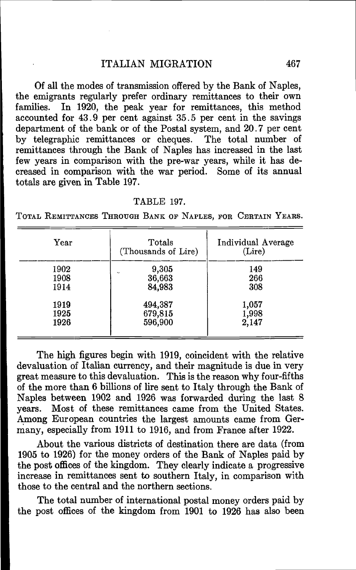Of all the modes of transmission offered by the Bank of Naples, the emigrants regularly prefer ordinary remittances to their own families. In 1920, the peak year for remittances, this method accounted for  $43.9$  per cent against  $35.5$  per cent in the savings department of the bank or of the Postal system, and 20.7 per cent by telegraphic remittances or cheques. The total number of remittances through the Bank of Naples has increased in the last few years in comparison with the pre-war years, while it has decreased in comparison with the war period. Some of its annual totals are given in Table 197.

#### TABLE 197.

TOTAL REMITTANCES THROUGH BANK OF NAPLES, FOR CERTAIN YEARS.

| Year                 | Totals<br>(Thousands of Lire)                     | Individual Average<br>(Lire) |
|----------------------|---------------------------------------------------|------------------------------|
| 1902<br>1908<br>1914 | 9,305<br>$\ddot{\phantom{0}}$<br>36,663<br>84,983 | 149<br>266<br>308            |
| 1919<br>1925<br>1926 | 494,387<br>679,815<br>596,900                     | 1,057<br>1,998<br>2,147      |

The high figures begin with 1919, coincident with the relative devaluation of Italian currency, and their magnitude is due in very great measure to this devaluation. This is the reason why four-fifths of the more than 6 billions of lire sent to Italy through the Bank of Naples between 1902 and 1926 was forwarded during the last S years. Most of these remittances came from the United States. Among European countries the largest amounts came from Germany, especially from 1911 to 1916, and from France after 1922.

About the various districts of destination there are data (from 1905 to 1926) for the money orders of the Bank of Naples paid by the post offices of the kingdom. They clearly indicate a progressive increase in remittances sent to southern Italy, in comparison with those to the central and the northern sections.

The total number of international postal money orders paid by the post offices of the kingdom from 1901 to 1926 has also been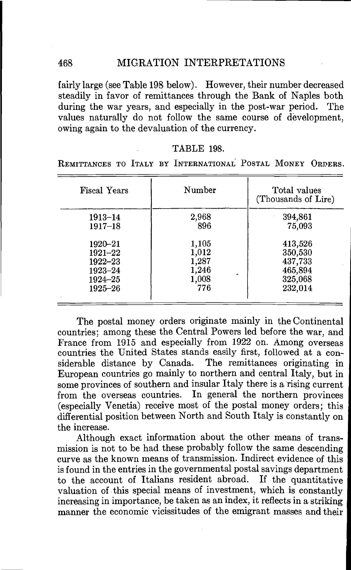fairly large (see Table 198 below). However, their number decreased steadily in favor of remittances through the Bank of Naples both during the war years, and especially in the post-war period. The values naturally do not follow the same course of development, owing again to the devaluation of the currency.

### TABLE 198.

REMITTANCES TO ITALY BY INTERNATIONAL POSTAL MONEY ORDERS.

| <b>Fiscal Years</b> | Number | Total values<br>(Thousands of Lire) |
|---------------------|--------|-------------------------------------|
| $1913 - 14$         | 2,968  | 394,861                             |
| $1917 - 18$         | 896    | 75,093                              |
| $1920 - 21$         | 1,105  | 413,526                             |
| 1921–22             | 1,012  | 350,530                             |
| $1922 - 23$         | 1,287  | 437,733                             |
| 1923–24             | 1,246  | 465,894                             |
| $1924 - 25$         | 1,008  | 325,068                             |
| $1925 - 26$         | 776    | 232,014                             |

The postal money orders originate mainly in the Continental countries; among these the Central Powers led before the war, and countries the United States stands easily first, followed at a considerable distance by Canada. The remittances originating in European countries go mainly to northern and central Italy, but in some provinces of southern and insular Italy there is a rising current from the overseas countries. In general the northern provinces (especially Venetia) receive most of the postal money orders; this differential position between North and South Italy is constantly on the increase.

Although exact information about the other means of transmission is not to be had these probably follow the same descending curve as the known means of transmission. Indirect evidence of this is found in the entries in the governmental postal savings department to the account of Italians resident abroad. If the quantitative valuation of this special means of investment, which is constantly increasing in importance, be taken as an index, it reflects in a striking manner the economic vicissitudes of the emigrant masses and their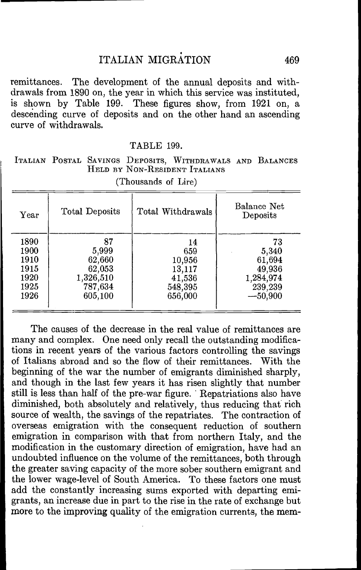remittances. The development of the annual deposits and withdrawals from 1890 on, the year in which this service was instituted, is shown by Table 199. These figures show, from 1921 on, a descending curve of deposits and on the other hand an ascending curve of withdrawals.

| TABLE 199. |  |
|------------|--|
|            |  |

ITALIAN POSTAL SAVINGS DEPOSITS, WITHDRAWALS AND BALANCES HELD BY NON-RESIDENT ITALIANS

| Year | Total Deposits | Total Withdrawals | Balance Net<br>Deposits |
|------|----------------|-------------------|-------------------------|
| 1890 | 87             | 14                | 73                      |
| 1900 | 5,999          | 659               | 5,340                   |
| 1910 | 62,660         | 10,956            | 61,694                  |
| 1915 | 62,053         | 13,117            | 49,936                  |
| 1920 | 1,326,510      | 41,536            | 1,284,974               |
| 1925 | 787,634        | 548,395           | 239,239                 |
| 1926 | 605,100        | 656,000           | $-50,900$               |
|      |                |                   |                         |

(Thousands of Lire)

The causes of the decrease in the real value of remittances are many and complex. One need only recall the outstanding modifications in recent years of the various factors controiling the savings of Italians abroad and so the flow of their remittances. With the beginning of the war the number of emigrants diminished sharply, and though in the last few years it has risen slightly that number still is less than half of the pre-war figure. Repatriations also have diminished, both absolutely and relatively, thus reducing that rich source of wealth, the savings of the repatriates. The contraction of overseas emigration with the consequent reduction of southern emigration in comparison with that from northern Italy, and the modification in the customary direction of emigration, have had an undoubted influence on the volume of the remittances, both through the greater saving capacity of the more sober southern emigrant and the lower wage-level of South America. To these factors one must add the constantly increasing sums exported with departing emigrants, an increase due in part to the rise in the rate of exchange but more to the improving quality of the emigration currents, the mem-